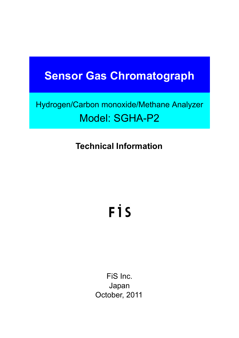# **Sensor Gas Chromatograph**

# Hydrogen/Carbon monoxide/Methane Analyzer Model: SGHA-P2

# **Technical Information**

# FİS

FiS Inc. Japan October, 2011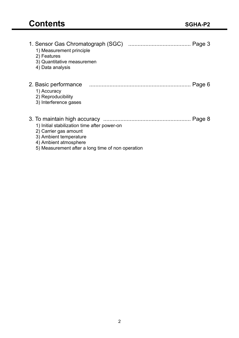| 1. Sensor Gas Chromatograph (SGC)<br>Page 3<br>1) Measurement principle<br>2) Features<br>3) Quantitative measuremen<br>4) Data analysis                                                |
|-----------------------------------------------------------------------------------------------------------------------------------------------------------------------------------------|
| 2. Basic performance<br>1) Accuracy<br>2) Reproducibility<br>3) Interference gases                                                                                                      |
| Page 8<br>1) Initial stabilization time after power-on<br>2) Carrier gas amount<br>3) Ambient temperature<br>4) Ambient atmosphere<br>5) Measurement after a long time of non operation |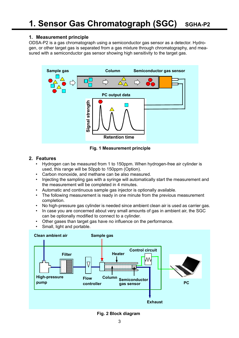# **1. Measurement principle**

ODSA-P2 is a gas chromatograph using a semiconductor gas sensor as a detector. Hydrogen, or other target gas is separated from a gas mixture through chromatography, and measured with a semiconductor gas sensor showing high sensitivity to the target gas.



**Fig. 1 Measurement principle**

# **2. Features**

- Hydrogen can be measured from 1 to 150ppm. When hydrogen-free air cylinder is used, this range will be 50ppb to 150ppm (Option).
- Carbon monoxide, and methane can be also measured.
- Injecting the sampling gas with a syringe will automatically start the measurement and the measurement will be completed in 4 minutes.
- Automatic and continuous sample gas injector is optionally available.
- The following measurement is ready in one minute from the previous measurement completion.
- No high-pressure gas cylinder is needed since ambient clean air is used as carrier gas.
- In case you are concerned about very small amounts of gas in ambient air, the SGC can be optionally modified to connect to a cylinder.
- Other gases than target gas have no influence on the performance.
- Small, light and portable.



**Fig. 2 Block diagram**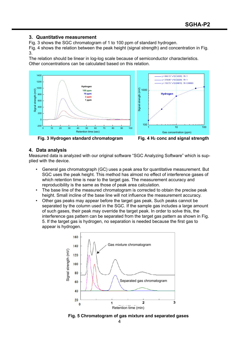#### **3. Quantitative measurement**

Fig. 3 shows the SGC chromatogram of 1 to 100 ppm of standard hydrogen.

Fig. 4 shows the relation between the peak height (signal strength) and concentration in Fig. 3.

The relation should be linear in log-log scale because of semiconductor characteristics. Other concentrations can be calculated based on this relation.





**Fig. 3 Hydrogen standard chromatogram Fig. 4 H2 conc and signal strength**

#### **4. Data analysis**

Measured data is analyzed with our original software "SGC Analyzing Software" which is supplied with the device.

- General gas chromatograph (GC) uses a peak area for quantitative measurement. But SGC uses the peak height. This method has almost no effect of interference gases of which retention time is near to the target gas. The measurement accuracy and reproducibility is the same as those of peak area calculation.
- The base line of the measured chromatogram is corrected to obtain the precise peak height. Small incline of the base line will not influence the measurement accuracy.
- Other gas peaks may appear before the target gas peak. Such peaks cannot be separated by the column used in the SGC. If the sample gas includes a large amount of such gases, their peak may override the target peak. In order to solve this, the interference gas pattern can be separated from the target gas pattern as shown in Fig. 5. If the target gas is hydrogen, no separation is needed because the first gas to appear is hydrogen.



**Fig. 5 Chromatogram of gas mixture and separated gases**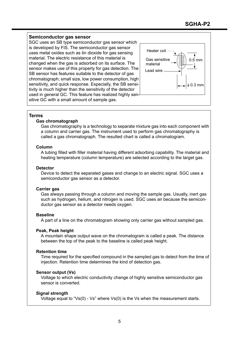## **Semiconductor gas sensor**

SGC uses an SB type semiconductor gas sensor which is developed by FIS. The semiconductor gas sensor uses metal oxides such as tin dioxide for gas sensing material. The electric resistance of this material is changed when the gas is adsorbed on its surface. The sensor makes use of this property for gas detection. The SB sensor has features suitable to the detector of gas chromatograph; small size, low power consumption, high sensitivity, and quick response. Especially, the SB sensitivity is much higher than the sensitivity of the detector used in general GC. This feature has realized highly sensitive GC with a small amount of sample gas.



#### **Terms**

#### **Gas chromatograph**

Gas chromatography is a technology to separate mixture gas into each component with a column and carrier gas. The instrument used to perform gas chromatography is called a gas chromatograph. The resulted chart is called a chromatogram.

#### **Column**

A tubing filled with filler material having different adsorbing capability. The material and heating temperature (column temperature) are selected according to the target gas.

#### **Detector**

Device to detect the separated gases and change to an electric signal. SGC uses a semiconductor gas sensor as a detector.

## **Carrier gas**

Gas always passing through a column and moving the sample gas. Usually, inert gas such as hydrogen, helium, and nitrogen is used. SGC uses air because the semiconductor gas sensor as a detector needs oxygen.

#### **Baseline**

A part of a line on the chromatogram showing only carrier gas without sampled gas.

#### **Peak, Peak height**

A mountain shape output wave on the chromatogram is called a peak. The distance between the top of the peak to the baseline is called peak height.

#### **Retention time**

Time required for the specified compound in the sampled gas to detect from the time of injection. Retention time determines the kind of detection gas.

## **Sensor output (Vs)**

Voltage to which electric conductivity change of highly sensitive semiconductor gas sensor is converted.

## **Signal strength**

Voltage equal to "Vs(0) - Vs" where Vs(0) is the Vs when the measurement starts.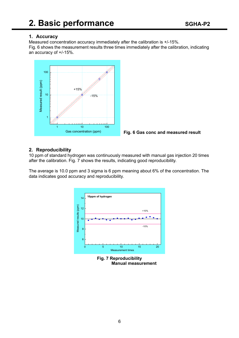# **1. Accuracy**

Measured concentration accuracy immediately after the calibration is +/-15%. Fig. 6 shows the measurement results three times immediately after the calibration, indicating an accuracy of +/-15%.





# **2. Reproducibility**

10 ppm of standard hydrogen was continuously measured with manual gas injection 20 times after the calibration. Fig. 7 shows the results, indicating good reproducibility.

The average is 10.0 ppm and 3 sigma is 6 ppm meaning about 6% of the concentration. The data indicates good accuracy and reproducibility.



**Fig. 7 Reproducibility Manual measurement**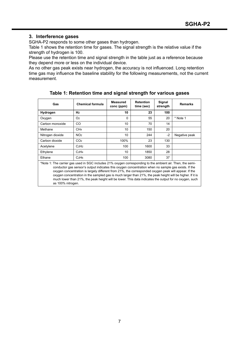# **3. Interference gases**

SGHA-P2 responds to some other gases than hydrogen.

Table 1 shows the retention time for gases. The signal strength is the relative value if the strength of hydrogen is 100.

Please use the retention time and signal strength in the table just as a reference because they depend more or less on the individual device.

As no other gas peak exists near hydrogen, the accuracy is not influenced. Long retention time gas may influence the baseline stability for the following measurements, not the current measurement.

| Gas                                                                                                                                                                                                                                                                                                                                                                                                                                                                                                                                                                   | <b>Chemical formula</b>       | <b>Measured</b><br>conc (ppm) | <b>Retention</b><br>time (sec) | Signal<br>strength | <b>Remarks</b> |  |  |
|-----------------------------------------------------------------------------------------------------------------------------------------------------------------------------------------------------------------------------------------------------------------------------------------------------------------------------------------------------------------------------------------------------------------------------------------------------------------------------------------------------------------------------------------------------------------------|-------------------------------|-------------------------------|--------------------------------|--------------------|----------------|--|--|
| Hydrogen                                                                                                                                                                                                                                                                                                                                                                                                                                                                                                                                                              | H <sub>2</sub>                | 10                            | 23                             | 100                |                |  |  |
| Oxygen                                                                                                                                                                                                                                                                                                                                                                                                                                                                                                                                                                | O <sub>2</sub>                | $\Omega$                      | 55                             | 20                 | * Note 1       |  |  |
| Carbon monoxide                                                                                                                                                                                                                                                                                                                                                                                                                                                                                                                                                       | CO                            | 10                            | 70                             | 14                 |                |  |  |
| Methane                                                                                                                                                                                                                                                                                                                                                                                                                                                                                                                                                               | CH <sub>4</sub>               | 10                            | 150                            | 20                 |                |  |  |
| Nitrogen dioxide                                                                                                                                                                                                                                                                                                                                                                                                                                                                                                                                                      | NO <sub>2</sub>               | 10                            | 244                            | -2                 | Negative peak  |  |  |
| Carbon dioxide                                                                                                                                                                                                                                                                                                                                                                                                                                                                                                                                                        | CO <sub>2</sub>               | 100%                          | 23                             | 130                |                |  |  |
| Acetylene                                                                                                                                                                                                                                                                                                                                                                                                                                                                                                                                                             | C <sub>2</sub> H <sub>2</sub> | 100                           | 1600                           | 33                 |                |  |  |
| Ethylene                                                                                                                                                                                                                                                                                                                                                                                                                                                                                                                                                              | C <sub>2</sub> H <sub>4</sub> | 10 <sup>°</sup>               | 1850                           | 28                 |                |  |  |
| Ethane                                                                                                                                                                                                                                                                                                                                                                                                                                                                                                                                                                | C <sub>2</sub> H <sub>6</sub> | 100                           | 3080                           | 37                 |                |  |  |
| *Note 1: The carrier gas used in SGC includes 21% oxygen corresponding to the ambient air. Then, the semi-<br>conductor gas sensor's output indicates this oxygen concentration when no sample gas exists. If the<br>oxygen concentration is largely different from 21%, the corresponded oxygen peak will appear. If the<br>oxygen concentration in the sampled gas is much larger than 21%, the peak height will be higher. If it is<br>much lower than 21%, the peak height will be lower. This data indicates the output for no oxygen, such<br>as 100% nitrogen. |                               |                               |                                |                    |                |  |  |

**Table 1: Retention time and signal strength for various gases**